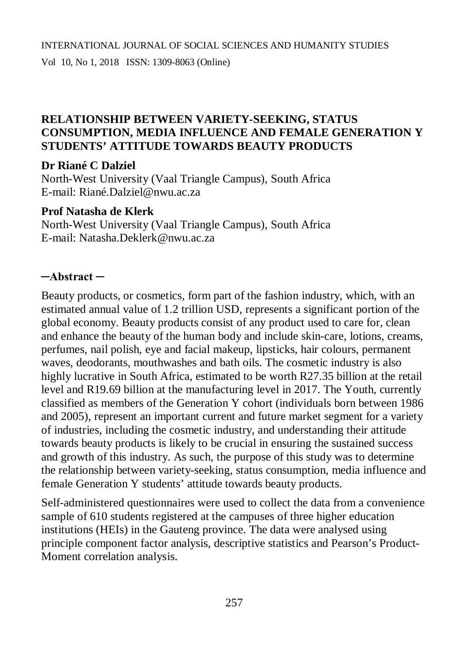## **RELATIONSHIP BETWEEN VARIETY-SEEKING, STATUS CONSUMPTION, MEDIA INFLUENCE AND FEMALE GENERATION Y STUDENTS' ATTITUDE TOWARDS BEAUTY PRODUCTS**

#### **Dr Riané C Dalziel**

North-West University (Vaal Triangle Campus), South Africa E-mail: Rian[é.Dalziel@nwu.ac.za](mailto:.Dalziel@nwu.ac.za)

#### **Prof Natasha de Klerk**

North-West University (Vaal Triangle Campus), South Africa E-mail: [Natasha.Deklerk@nwu.ac.za](mailto:Natasha.Deklerk@nwu.ac.za)

## **─Abstract ─**

Beauty products, or cosmetics, form part of the fashion industry, which, with an estimated annual value of 1.2 trillion USD, represents a significant portion of the global economy. Beauty products consist of any product used to care for, clean and enhance the beauty of the human body and include skin-care, lotions, creams, perfumes, nail polish, eye and facial makeup, lipsticks, hair colours, permanent waves, deodorants, mouthwashes and bath oils. The cosmetic industry is also highly lucrative in South Africa, estimated to be worth R27.35 billion at the retail level and R19.69 billion at the manufacturing level in 2017. The Youth, currently classified as members of the Generation Y cohort (individuals born between 1986 and 2005), represent an important current and future market segment for a variety of industries, including the cosmetic industry, and understanding their attitude towards beauty products is likely to be crucial in ensuring the sustained success and growth of this industry. As such, the purpose of this study was to determine the relationship between variety-seeking, status consumption, media influence and female Generation Y students' attitude towards beauty products.

Self-administered questionnaires were used to collect the data from a convenience sample of 610 students registered at the campuses of three higher education institutions (HEIs) in the Gauteng province. The data were analysed using principle component factor analysis, descriptive statistics and Pearson's Product-Moment correlation analysis.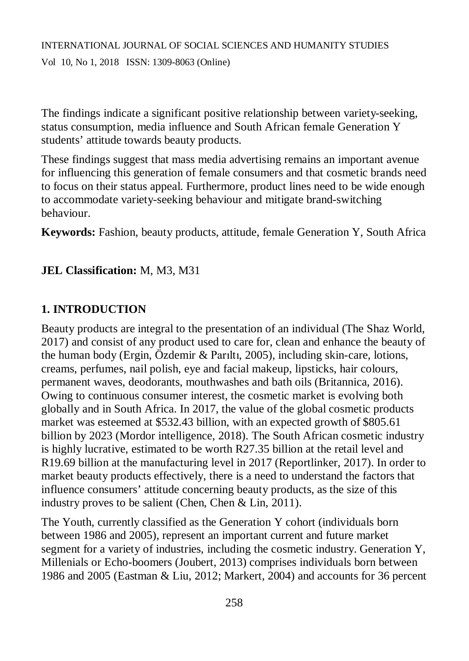The findings indicate a significant positive relationship between variety-seeking, status consumption, media influence and South African female Generation Y students' attitude towards beauty products.

These findings suggest that mass media advertising remains an important avenue for influencing this generation of female consumers and that cosmetic brands need to focus on their status appeal. Furthermore, product lines need to be wide enough to accommodate variety-seeking behaviour and mitigate brand-switching behaviour.

**Keywords:** Fashion, beauty products, attitude, female Generation Y, South Africa

## **JEL Classification:** M, M3, M31

## **1. INTRODUCTION**

Beauty products are integral to the presentation of an individual (The Shaz World, 2017) and consist of any product used to care for, clean and enhance the beauty of the human body (Ergin, Özdemir & Parıltı, 2005), including skin-care, lotions, creams, perfumes, nail polish, eye and facial makeup, lipsticks, hair colours, permanent waves, deodorants, mouthwashes and bath oils (Britannica, 2016). Owing to continuous consumer interest, the cosmetic market is evolving both globally and in South Africa. In 2017, the value of the global cosmetic products market was esteemed at \$532.43 billion, with an expected growth of \$805.61 billion by 2023 (Mordor intelligence, 2018). The South African cosmetic industry is highly lucrative, estimated to be worth R27.35 billion at the retail level and R19.69 billion at the manufacturing level in 2017 (Reportlinker, 2017). In order to market beauty products effectively, there is a need to understand the factors that influence consumers' attitude concerning beauty products, as the size of this industry proves to be salient (Chen, Chen & Lin, 2011).

The Youth, currently classified as the Generation Y cohort (individuals born between 1986 and 2005), represent an important current and future market segment for a variety of industries, including the cosmetic industry. Generation Y, Millenials or Echo-boomers (Joubert, 2013) comprises individuals born between 1986 and 2005 (Eastman & Liu, 2012; Markert, 2004) and accounts for 36 percent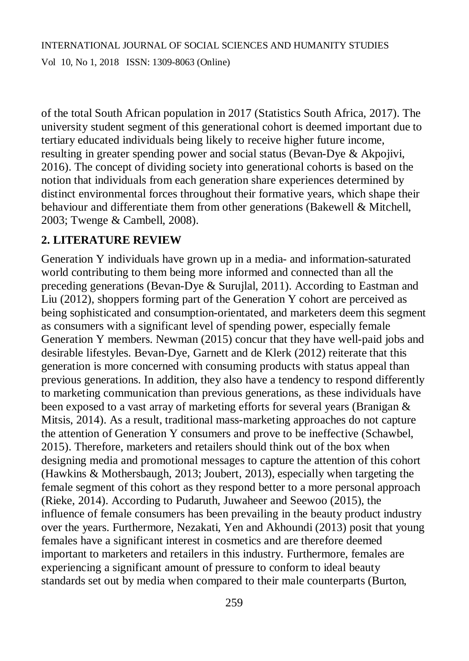of the total South African population in 2017 (Statistics South Africa, 2017). The university student segment of this generational cohort is deemed important due to tertiary educated individuals being likely to receive higher future income, resulting in greater spending power and social status (Bevan-Dye & Akpojivi, 2016). The concept of dividing society into generational cohorts is based on the notion that individuals from each generation share experiences determined by distinct environmental forces throughout their formative years, which shape their behaviour and differentiate them from other generations (Bakewell & Mitchell, 2003; Twenge & Cambell, 2008).

## **2. LITERATURE REVIEW**

Generation Y individuals have grown up in a media- and information-saturated world contributing to them being more informed and connected than all the preceding generations (Bevan-Dye & Surujlal, 2011). According to Eastman and Liu (2012), shoppers forming part of the Generation Y cohort are perceived as being sophisticated and consumption-orientated, and marketers deem this segment as consumers with a significant level of spending power, especially female Generation Y members. Newman (2015) concur that they have well-paid jobs and desirable lifestyles. Bevan-Dye, Garnett and de Klerk (2012) reiterate that this generation is more concerned with consuming products with status appeal than previous generations. In addition, they also have a tendency to respond differently to marketing communication than previous generations, as these individuals have been exposed to a vast array of marketing efforts for several years (Branigan & Mitsis, 2014). As a result, traditional mass-marketing approaches do not capture the attention of Generation Y consumers and prove to be ineffective (Schawbel, 2015). Therefore, marketers and retailers should think out of the box when designing media and promotional messages to capture the attention of this cohort (Hawkins & Mothersbaugh, 2013; Joubert, 2013), especially when targeting the female segment of this cohort as they respond better to a more personal approach (Rieke, 2014). According to Pudaruth, Juwaheer and Seewoo (2015), the influence of female consumers has been prevailing in the beauty product industry over the years. Furthermore, Nezakati, Yen and Akhoundi (2013) posit that young females have a significant interest in cosmetics and are therefore deemed important to marketers and retailers in this industry. Furthermore, females are experiencing a significant amount of pressure to conform to ideal beauty standards set out by media when compared to their male counterparts (Burton,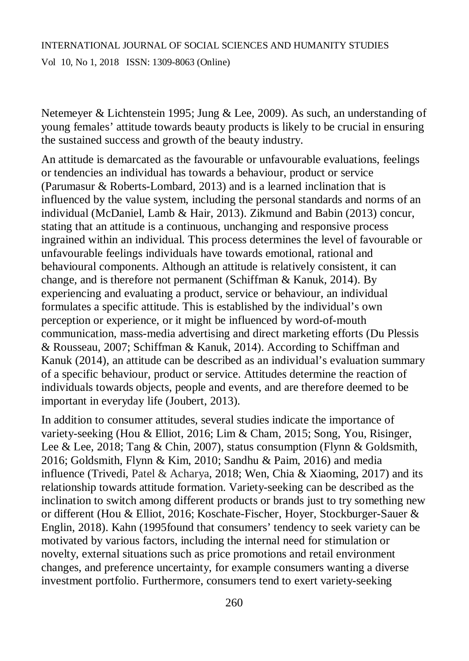Vol 10, No 1, 2018 ISSN: 1309-8063 (Online)

Netemeyer & Lichtenstein 1995; Jung & Lee, 2009). As such, an understanding of young females' attitude towards beauty products is likely to be crucial in ensuring the sustained success and growth of the beauty industry.

An attitude is demarcated as the favourable or unfavourable evaluations, feelings or tendencies an individual has towards a behaviour, product or service (Parumasur & Roberts-Lombard, 2013) and is a learned inclination that is influenced by the value system, including the personal standards and norms of an individual (McDaniel, Lamb & Hair, 2013). Zikmund and Babin (2013) concur, stating that an attitude is a continuous, unchanging and responsive process ingrained within an individual. This process determines the level of favourable or unfavourable feelings individuals have towards emotional, rational and behavioural components. Although an attitude is relatively consistent, it can change, and is therefore not permanent (Schiffman & Kanuk, 2014). By experiencing and evaluating a product, service or behaviour, an individual formulates a specific attitude. This is established by the individual's own perception or experience, or it might be influenced by word-of-mouth communication, mass-media advertising and direct marketing efforts (Du Plessis & Rousseau, 2007; Schiffman & Kanuk, 2014). According to Schiffman and Kanuk (2014), an attitude can be described as an individual's evaluation summary of a specific behaviour, product or service. Attitudes determine the reaction of individuals towards objects, people and events, and are therefore deemed to be important in everyday life (Joubert, 2013).

In addition to consumer attitudes, several studies indicate the importance of variety-seeking (Hou & Elliot, 2016; Lim & Cham, 2015; Song, You, Risinger, Lee & Lee, 2018; Tang & Chin, 2007), status consumption (Flynn & Goldsmith, 2016; Goldsmith, Flynn & Kim, 2010; Sandhu & Paim, 2016) and media influence (Trivedi, Patel & Acharya, 2018; Wen, Chia & Xiaoming, 2017) and its relationship towards attitude formation. Variety-seeking can be described as the inclination to switch among different products or brands just to try something new or different (Hou & Elliot, 2016; Koschate-Fischer, Hoyer, Stockburger-Sauer & Englin, 2018). Kahn (1995found that consumers' tendency to seek variety can be motivated by various factors, including the internal need for stimulation or novelty, external situations such as price promotions and retail environment changes, and preference uncertainty, for example consumers wanting a diverse investment portfolio. Furthermore, consumers tend to exert variety-seeking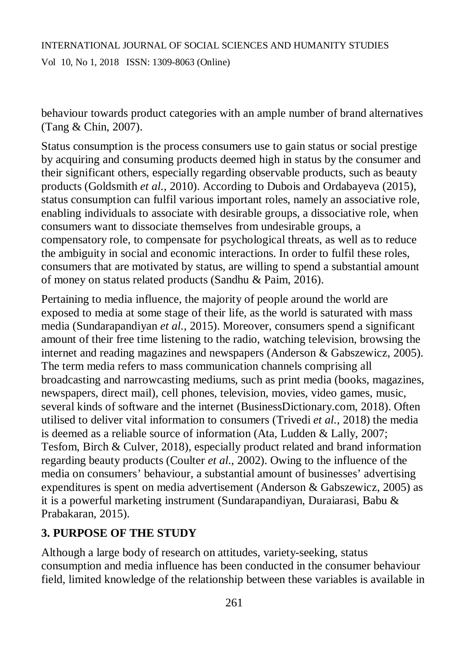behaviour towards product categories with an ample number of brand alternatives (Tang & Chin, 2007).

Status consumption is the process consumers use to gain status or social prestige by acquiring and consuming products deemed high in status by the consumer and their significant others, especially regarding observable products, such as beauty products (Goldsmith *et al.*, 2010). According to Dubois and Ordabayeva (2015), status consumption can fulfil various important roles, namely an associative role, enabling individuals to associate with desirable groups, a dissociative role, when consumers want to dissociate themselves from undesirable groups, a compensatory role, to compensate for psychological threats, as well as to reduce the ambiguity in social and economic interactions. In order to fulfil these roles, consumers that are motivated by status, are willing to spend a substantial amount of money on status related products (Sandhu & Paim, 2016).

Pertaining to media influence, the majority of people around the world are exposed to media at some stage of their life, as the world is saturated with mass media (Sundarapandiyan *et al.*, 2015). Moreover, consumers spend a significant amount of their free time listening to the radio, watching television, browsing the internet and reading magazines and newspapers (Anderson & Gabszewicz, 2005). The term media refers to mass communication channels comprising all broadcasting and narrowcasting mediums, such as print media (books, magazines, newspapers, direct mail), cell phones, television, movies, video games, music, several kinds of software and the internet (BusinessDictionary.com, 2018). Often utilised to deliver vital information to consumers (Trivedi *et al.*, 2018) the media is deemed as a reliable source of information (Ata, Ludden & Lally, 2007; Tesfom, Birch & Culver, 2018), especially product related and brand information regarding beauty products (Coulter *et al.*, 2002). Owing to the influence of the media on consumers' behaviour, a substantial amount of businesses' advertising expenditures is spent on media advertisement (Anderson & Gabszewicz, 2005) as it is a powerful marketing instrument (Sundarapandiyan, Duraiarasi, Babu & Prabakaran, 2015).

#### **3. PURPOSE OF THE STUDY**

Although a large body of research on attitudes, variety-seeking, status consumption and media influence has been conducted in the consumer behaviour field, limited knowledge of the relationship between these variables is available in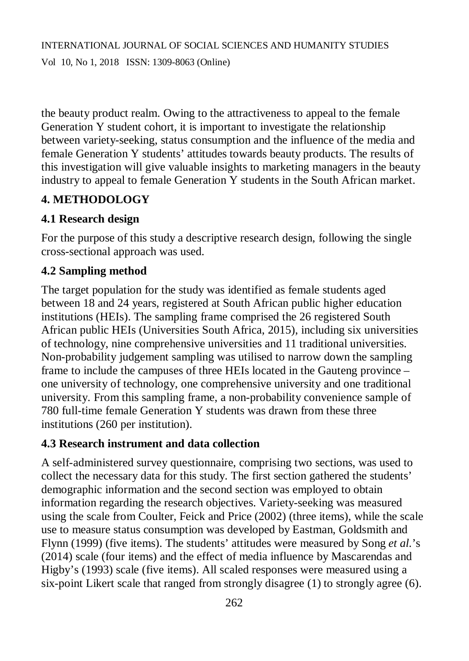the beauty product realm. Owing to the attractiveness to appeal to the female Generation Y student cohort, it is important to investigate the relationship between variety-seeking, status consumption and the influence of the media and female Generation Y students' attitudes towards beauty products. The results of this investigation will give valuable insights to marketing managers in the beauty industry to appeal to female Generation Y students in the South African market.

## **4. METHODOLOGY**

## **4.1 Research design**

For the purpose of this study a descriptive research design, following the single cross-sectional approach was used.

## **4.2 Sampling method**

The target population for the study was identified as female students aged between 18 and 24 years, registered at South African public higher education institutions (HEIs). The sampling frame comprised the 26 registered South African public HEIs (Universities South Africa, 2015), including six universities of technology, nine comprehensive universities and 11 traditional universities. Non-probability judgement sampling was utilised to narrow down the sampling frame to include the campuses of three HEIs located in the Gauteng province – one university of technology, one comprehensive university and one traditional university. From this sampling frame, a non-probability convenience sample of 780 full-time female Generation Y students was drawn from these three institutions (260 per institution).

## **4.3 Research instrument and data collection**

A self-administered survey questionnaire, comprising two sections, was used to collect the necessary data for this study. The first section gathered the students' demographic information and the second section was employed to obtain information regarding the research objectives. Variety-seeking was measured using the scale from Coulter, Feick and Price (2002) (three items), while the scale use to measure status consumption was developed by Eastman, Goldsmith and Flynn (1999) (five items). The students' attitudes were measured by Song *et al.*'s (2014) scale (four items) and the effect of media influence by Mascarendas and Higby's (1993) scale (five items). All scaled responses were measured using a six-point Likert scale that ranged from strongly disagree (1) to strongly agree (6).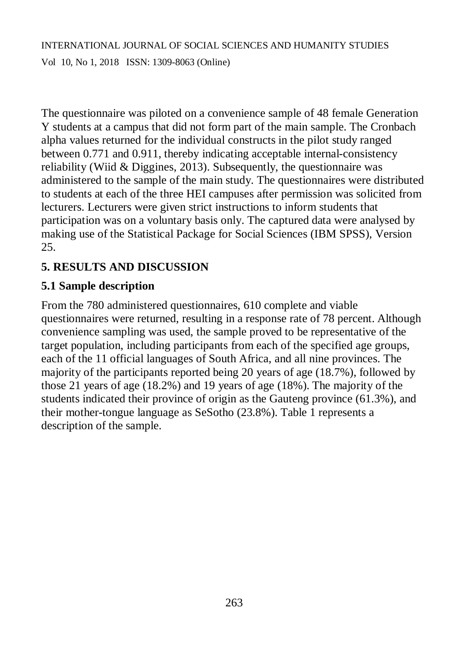The questionnaire was piloted on a convenience sample of 48 female Generation Y students at a campus that did not form part of the main sample. The Cronbach alpha values returned for the individual constructs in the pilot study ranged between 0.771 and 0.911, thereby indicating acceptable internal-consistency reliability (Wiid & Diggines, 2013). Subsequently, the questionnaire was administered to the sample of the main study. The questionnaires were distributed to students at each of the three HEI campuses after permission was solicited from lecturers. Lecturers were given strict instructions to inform students that participation was on a voluntary basis only. The captured data were analysed by making use of the Statistical Package for Social Sciences (IBM SPSS), Version 25.

# **5. RESULTS AND DISCUSSION**

## **5.1 Sample description**

From the 780 administered questionnaires, 610 complete and viable questionnaires were returned, resulting in a response rate of 78 percent. Although convenience sampling was used, the sample proved to be representative of the target population, including participants from each of the specified age groups, each of the 11 official languages of South Africa, and all nine provinces. The majority of the participants reported being 20 years of age (18.7%), followed by those 21 years of age (18.2%) and 19 years of age (18%). The majority of the students indicated their province of origin as the Gauteng province (61.3%), and their mother-tongue language as SeSotho (23.8%). Table 1 represents a description of the sample.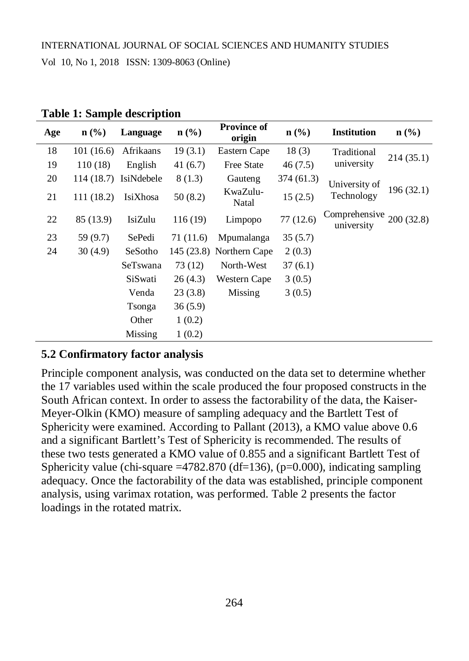| Age | $\mathbf{n}(\%)$ | Language              | $n$ (%)   | <b>Province of</b><br>origin | $n\left(\frac{0}{0}\right)$ | <b>Institution</b>                      | $n$ (%)    |
|-----|------------------|-----------------------|-----------|------------------------------|-----------------------------|-----------------------------------------|------------|
| 18  | 101(16.6)        | Afrikaans             | 19(3.1)   | Eastern Cape                 | 18(3)                       | Traditional                             | 214(35.1)  |
| 19  | 110 (18)         | English               | 41(6.7)   | <b>Free State</b>            | 46(7.5)                     | university                              |            |
| 20  |                  | 114 (18.7) IsiNdebele | 8(1.3)    | Gauteng                      | 374 (61.3)                  | University of                           |            |
| 21  | 111 (18.2)       | IsiXhosa              | 50(8.2)   | KwaZulu-<br>Natal            | 15(2.5)                     | Technology                              | 196 (32.1) |
| 22  | 85 (13.9)        | IsiZulu               | 116 (19)  | Limpopo                      | 77(12.6)                    | Comprehensive $200(32.8)$<br>university |            |
| 23  | 59 (9.7)         | SePedi                | 71 (11.6) | Mpumalanga                   | 35(5.7)                     |                                         |            |
| 24  | 30(4.9)          | SeSotho               |           | 145 (23.8) Northern Cape     | 2(0.3)                      |                                         |            |
|     |                  | SeTswana              | 73 (12)   | North-West                   | 37(6.1)                     |                                         |            |
|     |                  | SiSwati               | 26(4.3)   | Western Cape                 | 3(0.5)                      |                                         |            |
|     |                  | Venda                 | 23(3.8)   | Missing                      | 3(0.5)                      |                                         |            |
|     |                  | Tsonga                | 36(5.9)   |                              |                             |                                         |            |
|     |                  | Other                 | 1(0.2)    |                              |                             |                                         |            |
|     |                  | Missing               | 1(0.2)    |                              |                             |                                         |            |

**Table 1: Sample description**

## **5.2 Confirmatory factor analysis**

Principle component analysis, was conducted on the data set to determine whether the 17 variables used within the scale produced the four proposed constructs in the South African context. In order to assess the factorability of the data, the Kaiser-Meyer-Olkin (KMO) measure of sampling adequacy and the Bartlett Test of Sphericity were examined. According to Pallant (2013), a KMO value above 0.6 and a significant Bartlett's Test of Sphericity is recommended. The results of these two tests generated a KMO value of 0.855 and a significant Bartlett Test of Sphericity value (chi-square  $=4782.870$  (df=136), (p=0.000), indicating sampling adequacy. Once the factorability of the data was established, principle component analysis, using varimax rotation, was performed. Table 2 presents the factor loadings in the rotated matrix.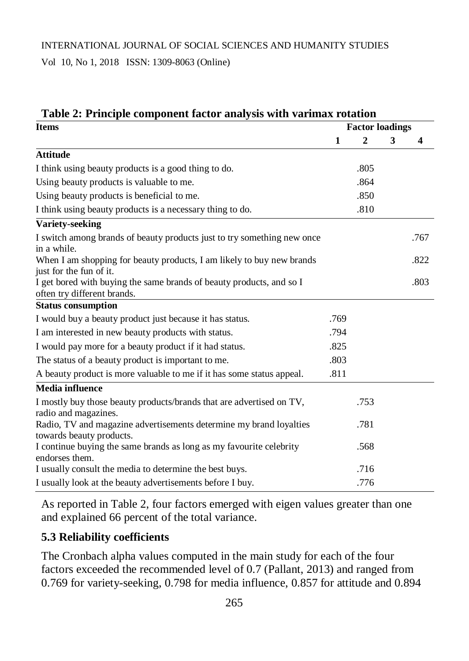Vol 10, No 1, 2018 ISSN: 1309-8063 (Online)

| Table 2: Principle component factor analysis with varimax rotation                                  |              |                        |   |      |  |  |
|-----------------------------------------------------------------------------------------------------|--------------|------------------------|---|------|--|--|
| <b>Items</b>                                                                                        |              | <b>Factor loadings</b> |   |      |  |  |
|                                                                                                     | $\mathbf{1}$ | $\overline{2}$         | 3 | 4    |  |  |
| <b>Attitude</b>                                                                                     |              |                        |   |      |  |  |
| I think using beauty products is a good thing to do.                                                |              | .805                   |   |      |  |  |
| Using beauty products is valuable to me.                                                            |              | .864                   |   |      |  |  |
| Using beauty products is beneficial to me.                                                          |              | .850                   |   |      |  |  |
| I think using beauty products is a necessary thing to do.                                           |              | .810                   |   |      |  |  |
| <b>Variety-seeking</b>                                                                              |              |                        |   |      |  |  |
| I switch among brands of beauty products just to try something new once<br>in a while.              |              |                        |   | .767 |  |  |
| When I am shopping for beauty products, I am likely to buy new brands<br>just for the fun of it.    |              |                        |   | .822 |  |  |
| I get bored with buying the same brands of beauty products, and so I<br>often try different brands. |              |                        |   | .803 |  |  |
| <b>Status consumption</b>                                                                           |              |                        |   |      |  |  |
| I would buy a beauty product just because it has status.                                            | .769         |                        |   |      |  |  |
| I am interested in new beauty products with status.                                                 | .794         |                        |   |      |  |  |
| I would pay more for a beauty product if it had status.                                             | .825         |                        |   |      |  |  |
| The status of a beauty product is important to me.                                                  | .803         |                        |   |      |  |  |
| A beauty product is more valuable to me if it has some status appeal.                               | .811         |                        |   |      |  |  |
| <b>Media influence</b>                                                                              |              |                        |   |      |  |  |
| I mostly buy those beauty products/brands that are advertised on TV,<br>radio and magazines.        |              | .753                   |   |      |  |  |
| Radio, TV and magazine advertisements determine my brand loyalties<br>towards beauty products.      |              | .781                   |   |      |  |  |
| I continue buying the same brands as long as my favourite celebrity<br>endorses them.               |              | .568                   |   |      |  |  |
| I usually consult the media to determine the best buys.                                             |              | .716                   |   |      |  |  |
| I usually look at the beauty advertisements before I buy.                                           |              | .776                   |   |      |  |  |

As reported in Table 2, four factors emerged with eigen values greater than one and explained 66 percent of the total variance.

## **5.3 Reliability coefficients**

The Cronbach alpha values computed in the main study for each of the four factors exceeded the recommended level of 0.7 (Pallant, 2013) and ranged from 0.769 for variety-seeking, 0.798 for media influence, 0.857 for attitude and 0.894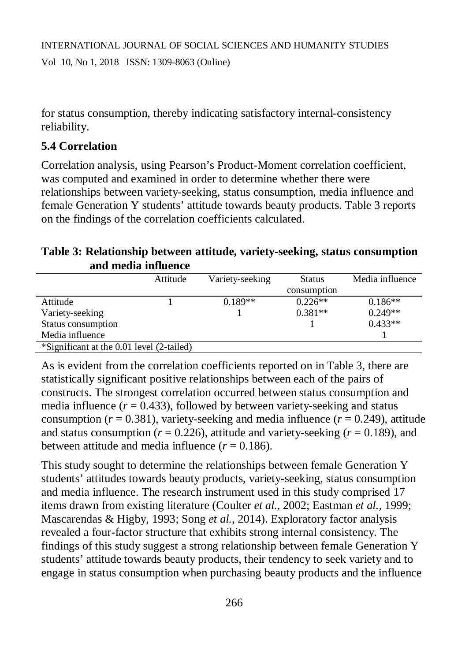for status consumption, thereby indicating satisfactory internal-consistency reliability.

## **5.4 Correlation**

Correlation analysis, using Pearson's Product-Moment correlation coefficient, was computed and examined in order to determine whether there were relationships between variety-seeking, status consumption, media influence and female Generation Y students' attitude towards beauty products. Table 3 reports on the findings of the correlation coefficients calculated.

**Table 3: Relationship between attitude, variety-seeking, status consumption and media influence**

|                                           | Attitude | Variety-seeking | <b>Status</b> | Media influence |
|-------------------------------------------|----------|-----------------|---------------|-----------------|
|                                           |          |                 | consumption   |                 |
| Attitude                                  |          | $0.189**$       | $0.226**$     | $0.186**$       |
| Variety-seeking                           |          |                 | $0.381**$     | $0.249**$       |
| Status consumption                        |          |                 |               | $0.433**$       |
| Media influence                           |          |                 |               |                 |
| *Significant at the 0.01 level (2-tailed) |          |                 |               |                 |

As is evident from the correlation coefficients reported on in Table 3, there are statistically significant positive relationships between each of the pairs of constructs. The strongest correlation occurred between status consumption and media influence  $(r = 0.433)$ , followed by between variety-seeking and status consumption ( $r = 0.381$ ), variety-seeking and media influence ( $r = 0.249$ ), attitude and status consumption ( $r = 0.226$ ), attitude and variety-seeking ( $r = 0.189$ ), and between attitude and media influence  $(r = 0.186)$ .

This study sought to determine the relationships between female Generation Y students' attitudes towards beauty products, variety-seeking, status consumption and media influence. The research instrument used in this study comprised 17 items drawn from existing literature (Coulter *et al.*, 2002; Eastman *et al.*, 1999; Mascarendas & Higby, 1993; Song *et al.*, 2014). Exploratory factor analysis revealed a four-factor structure that exhibits strong internal consistency. The findings of this study suggest a strong relationship between female Generation Y students' attitude towards beauty products, their tendency to seek variety and to engage in status consumption when purchasing beauty products and the influence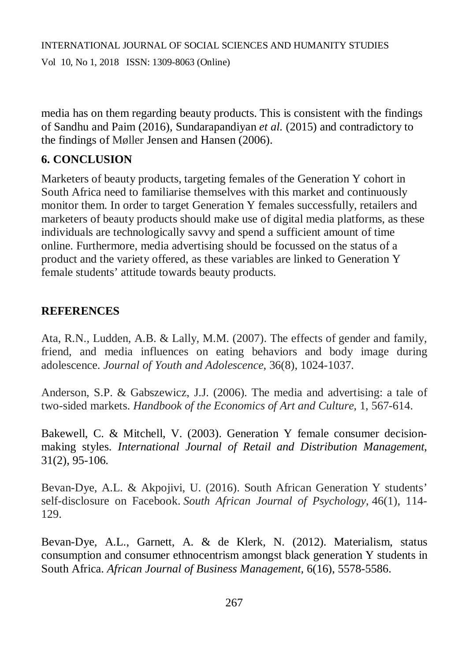Vol 10, No 1, 2018 ISSN: 1309-8063 (Online)

media has on them regarding beauty products. This is consistent with the findings of Sandhu and Paim (2016), Sundarapandiyan *et al.* (2015) and contradictory to the findings of Møller Jensen and Hansen (2006).

## **6. CONCLUSION**

Marketers of beauty products, targeting females of the Generation Y cohort in South Africa need to familiarise themselves with this market and continuously monitor them. In order to target Generation Y females successfully, retailers and marketers of beauty products should make use of digital media platforms, as these individuals are technologically savvy and spend a sufficient amount of time online. Furthermore, media advertising should be focussed on the status of a product and the variety offered, as these variables are linked to Generation Y female students' attitude towards beauty products.

## **REFERENCES**

Ata, R.N., Ludden, A.B. & Lally, M.M. (2007). The effects of gender and family, friend, and media influences on eating behaviors and body image during adolescence. *Journal of Youth and Adolescence*, 36(8), 1024-1037.

Anderson, S.P. & Gabszewicz, J.J. (2006). The media and advertising: a tale of two-sided markets. *Handbook of the Economics of Art and Culture*, 1, 567-614.

Bakewell, C. & Mitchell, V. (2003). Generation Y female consumer decisionmaking styles. *International Journal of Retail and Distribution Management*, 31(2), 95-106.

Bevan-Dye, A.L. & Akpojivi, U. (2016). South African Generation Y students' self-disclosure on Facebook. *South African Journal of Psychology*, 46(1), 114- 129.

Bevan-Dye, A.L., Garnett, A. & de Klerk, N. (2012). Materialism, status consumption and consumer ethnocentrism amongst black generation Y students in South Africa. *African Journal of Business Management,* 6(16), 5578-5586.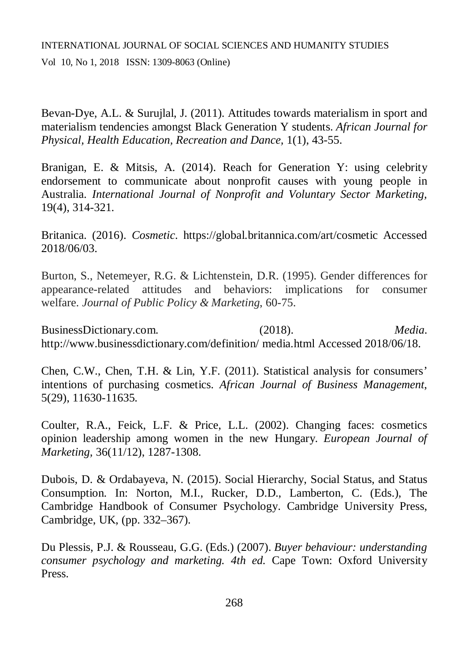Vol 10, No 1, 2018 ISSN: 1309-8063 (Online)

Bevan-Dye, A.L. & Surujlal, J. (2011). Attitudes towards materialism in sport and materialism tendencies amongst Black Generation Y students. *African Journal for Physical, Health Education, Recreation and Dance,* 1(1), 43-55.

Branigan, E. & Mitsis, A. (2014). Reach for Generation Y: using celebrity endorsement to communicate about nonprofit causes with young people in Australia. *International Journal of Nonprofit and Voluntary Sector Marketing,*  19(4), 314-321.

Britanica. (2016). *Cosmetic*. <https://global.britannica.com/art/cosmetic> Accessed 2018/06/03.

Burton, S., Netemeyer, R.G. & Lichtenstein, D.R. (1995). Gender differences for appearance-related attitudes and behaviors: implications for consumer welfare. *Journal of Public Policy & Marketing*, 60-75.

BusinessDictionary.com. (2018). *Media*. <http://www.businessdictionary.com/definition/> media.html Accessed 2018/06/18.

Chen, C.W., Chen, T.H. & Lin, Y.F. (2011). Statistical analysis for consumers' intentions of purchasing cosmetics. *African Journal of Business Management*, 5(29), 11630-11635.

Coulter, R.A., Feick, L.F. & Price, L.L. (2002). Changing faces: cosmetics opinion leadership among women in the new Hungary. *European Journal of Marketing,* 36(11/12), 1287-1308.

Dubois, D. & Ordabayeva, N. (2015). Social Hierarchy, Social Status, and Status Consumption. In: Norton, M.I., Rucker, D.D., Lamberton, C. (Eds.), The Cambridge Handbook of Consumer Psychology. Cambridge University Press, Cambridge, UK, (pp. 332–367).

Du Plessis, P.J. & Rousseau, G.G. (Eds.) (2007). *Buyer behaviour: understanding consumer psychology and marketing. 4th ed.* Cape Town: Oxford University Press.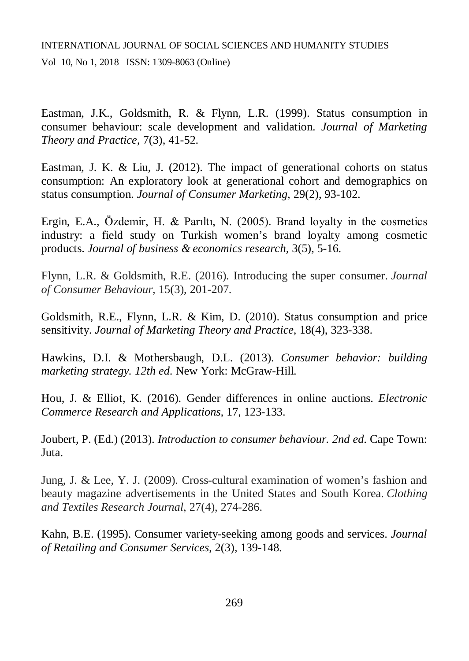Eastman, J.K., Goldsmith, R. & Flynn, L.R. (1999). Status consumption in consumer behaviour: scale development and validation. *Journal of Marketing Theory and Practice,* 7(3), 41-52.

Eastman, J. K. & Liu, J. (2012). The impact of generational cohorts on status consumption: An exploratory look at generational cohort and demographics on status consumption. *Journal of Consumer Marketing,* 29(2), 93-102.

Ergin, E.A., Özdemir, H. & Parıltı, N. (2005). Brand loyalty in the cosmetics industry: a field study on Turkish women's brand loyalty among cosmetic products. *Journal of business & economics research,* 3(5), 5-16.

Flynn, L.R. & Goldsmith, R.E. (2016). Introducing the super consumer. *Journal of Consumer Behaviour*, 15(3), 201-207.

Goldsmith, R.E., Flynn, L.R. & Kim, D. (2010). Status consumption and price sensitivity. *Journal of Marketing Theory and Practice,* 18(4), 323-338.

Hawkins, D.I. & Mothersbaugh, D.L. (2013). *Consumer behavior: building marketing strategy. 12th ed*. New York: McGraw-Hill.

Hou, J. & Elliot, K. (2016). Gender differences in online auctions. *Electronic Commerce Research and Applications,* 17, 123-133.

Joubert, P. (Ed.) (2013). *Introduction to consumer behaviour. 2nd ed*. Cape Town: Juta.

Jung, J. & Lee, Y. J. (2009). Cross-cultural examination of women's fashion and beauty magazine advertisements in the United States and South Korea. *Clothing and Textiles Research Journal*, 27(4), 274-286.

Kahn, B.E. (1995). Consumer variety-seeking among goods and services. *Journal of Retailing and Consumer Services,* 2(3), 139-148.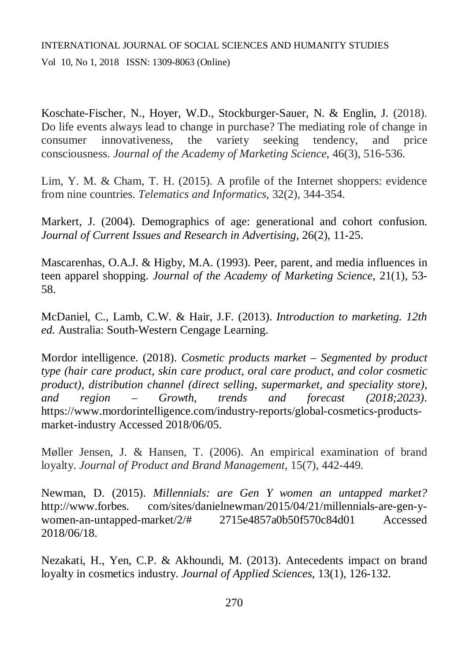Koschate-Fischer, N., Hoyer, W.D., Stockburger-Sauer, N. & Englin, J. (2018). Do life events always lead to change in purchase? The mediating role of change in consumer innovativeness, the variety seeking tendency, and price consciousness. *Journal of the Academy of Marketing Science*, 46(3), 516-536.

Lim, Y. M. & Cham, T. H. (2015). A profile of the Internet shoppers: evidence from nine countries. *Telematics and Informatics*, 32(2), 344-354.

Markert, J. (2004). Demographics of age: generational and cohort confusion. *Journal of Current Issues and Research in Advertising*, 26(2), 11-25.

Mascarenhas, O.A.J. & Higby, M.A. (1993). Peer, parent, and media influences in teen apparel shopping. *Journal of the Academy of Marketing Science,* 21(1), 53- 58.

McDaniel, C., Lamb, C.W. & Hair, J.F. (2013). *Introduction to marketing. 12th ed.* Australia: South-Western Cengage Learning.

Mordor intelligence. (2018). *Cosmetic products market – Segmented by product type (hair care product, skin care product, oral care product, and color cosmetic product), distribution channel (direct selling, supermarket, and speciality store), and region – Growth, trends and forecast (2018;2023)*. [https://www.mordorintelligence.com/industry-reports/global-cosmetics-products](https://www.mordorintelligence.com/industry-reports/global-cosmetics-products-)market-industry Accessed 2018/06/05.

Møller Jensen, J. & Hansen, T. (2006). An empirical examination of brand loyalty. *Journal of Product and Brand Management*, 15(7), 442-449.

Newman, D. (2015). *Millennials: are Gen Y women an untapped market?* <http://www.forbes.> com/sites/danielnewman/2015/04/21/millennials-are-gen-ywomen-an-untapped-market/2/# 2715e4857a0b50f570c84d01 Accessed 2018/06/18.

Nezakati, H., Yen, C.P. & Akhoundi, M. (2013). Antecedents impact on brand loyalty in cosmetics industry. *Journal of Applied Sciences,* 13(1), 126-132.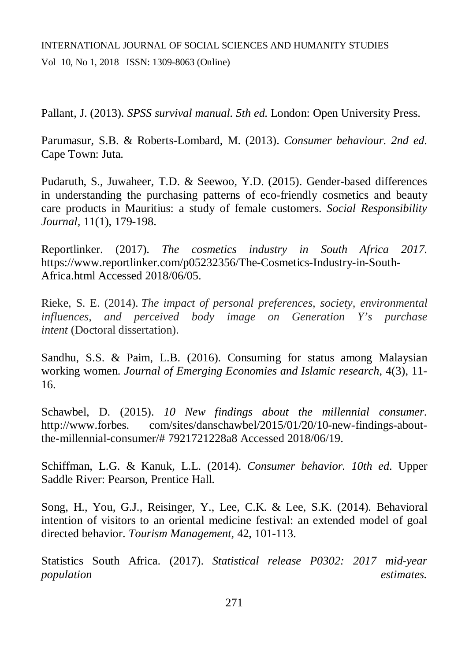Pallant, J. (2013). *SPSS survival manual. 5th ed*. London: Open University Press.

Parumasur, S.B. & Roberts-Lombard, M. (2013). *Consumer behaviour. 2nd ed*. Cape Town: Juta.

Pudaruth, S., Juwaheer, T.D. & Seewoo, Y.D. (2015). Gender-based differences in understanding the purchasing patterns of eco-friendly cosmetics and beauty care products in Mauritius: a study of female customers. *Social Responsibility Journal,* 11(1), 179-198.

Reportlinker. (2017). *The cosmetics industry in South Africa 2017*. <https://www.reportlinker.com/p05232356/The-Cosmetics-Industry-in-South->Africa.html Accessed 2018/06/05.

Rieke, S. E. (2014). *The impact of personal preferences, society, environmental influences, and perceived body image on Generation Y's purchase intent* (Doctoral dissertation).

Sandhu, S.S. & Paim, L.B. (2016). Consuming for status among Malaysian working women. *Journal of Emerging Economies and Islamic research,* 4(3), 11- 16.

Schawbel, D. (2015). *10 New findings about the millennial consumer*. <http://www.forbes.> com/sites/danschawbel/2015/01/20/10-new-findings-aboutthe-millennial-consumer/# 7921721228a8 Accessed 2018/06/19.

Schiffman, L.G. & Kanuk, L.L. (2014). *Consumer behavior. 10th ed*. Upper Saddle River: Pearson, Prentice Hall.

Song, H., You, G.J., Reisinger, Y., Lee, C.K. & Lee, S.K. (2014). Behavioral intention of visitors to an oriental medicine festival: an extended model of goal directed behavior. *Tourism Management*, 42, 101-113.

Statistics South Africa. (2017). *Statistical release P0302: 2017 mid-year population estimates.*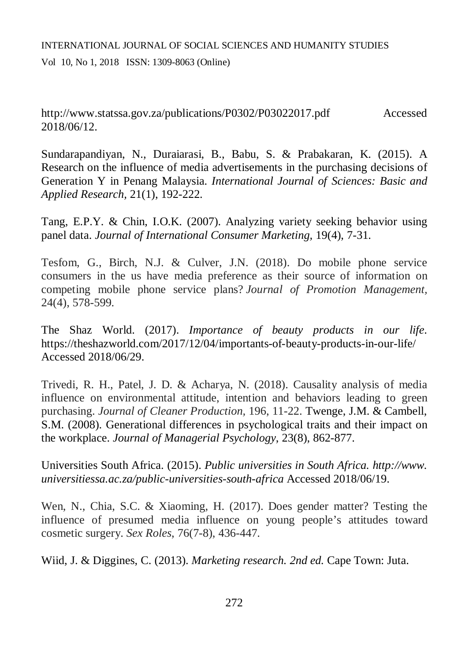<http://www.statssa.gov.za/publications/P0302/P03022017.pdf> Accessed 2018/06/12.

Sundarapandiyan, N., Duraiarasi, B., Babu, S. & Prabakaran, K. (2015). A Research on the influence of media advertisements in the purchasing decisions of Generation Y in Penang Malaysia. *International Journal of Sciences: Basic and Applied Research,* 21(1), 192-222.

Tang, E.P.Y. & Chin, I.O.K. (2007). Analyzing variety seeking behavior using panel data. *Journal of International Consumer Marketing,* 19(4), 7-31.

Tesfom, G., Birch, N.J. & Culver, J.N. (2018). Do mobile phone service consumers in the us have media preference as their source of information on competing mobile phone service plans? *Journal of Promotion Management,*  24(4), 578-599.

The Shaz World. (2017). *Importance of beauty products in our life*. <https://theshazworld.com/2017/12/04/importants-of-beauty-products-in-our-life/> Accessed 2018/06/29.

Trivedi, R. H., Patel, J. D. & Acharya, N. (2018). Causality analysis of media influence on environmental attitude, intention and behaviors leading to green purchasing. *Journal of Cleaner Production,* 196, 11-22. Twenge, J.M. & Cambell, S.M. (2008). Generational differences in psychological traits and their impact on the workplace. *Journal of Managerial Psychology*, 23(8), 862-877.

Universities South Africa. (2015). *Public universities in South Africa.<http://www.> universitiessa.ac.za/public-universities-south-africa* Accessed 2018/06/19.

Wen, N., Chia, S.C. & Xiaoming, H. (2017). Does gender matter? Testing the influence of presumed media influence on young people's attitudes toward cosmetic surgery. *Sex Roles*, 76(7-8), 436-447.

Wiid, J. & Diggines, C. (2013). *Marketing research. 2nd ed.* Cape Town: Juta.